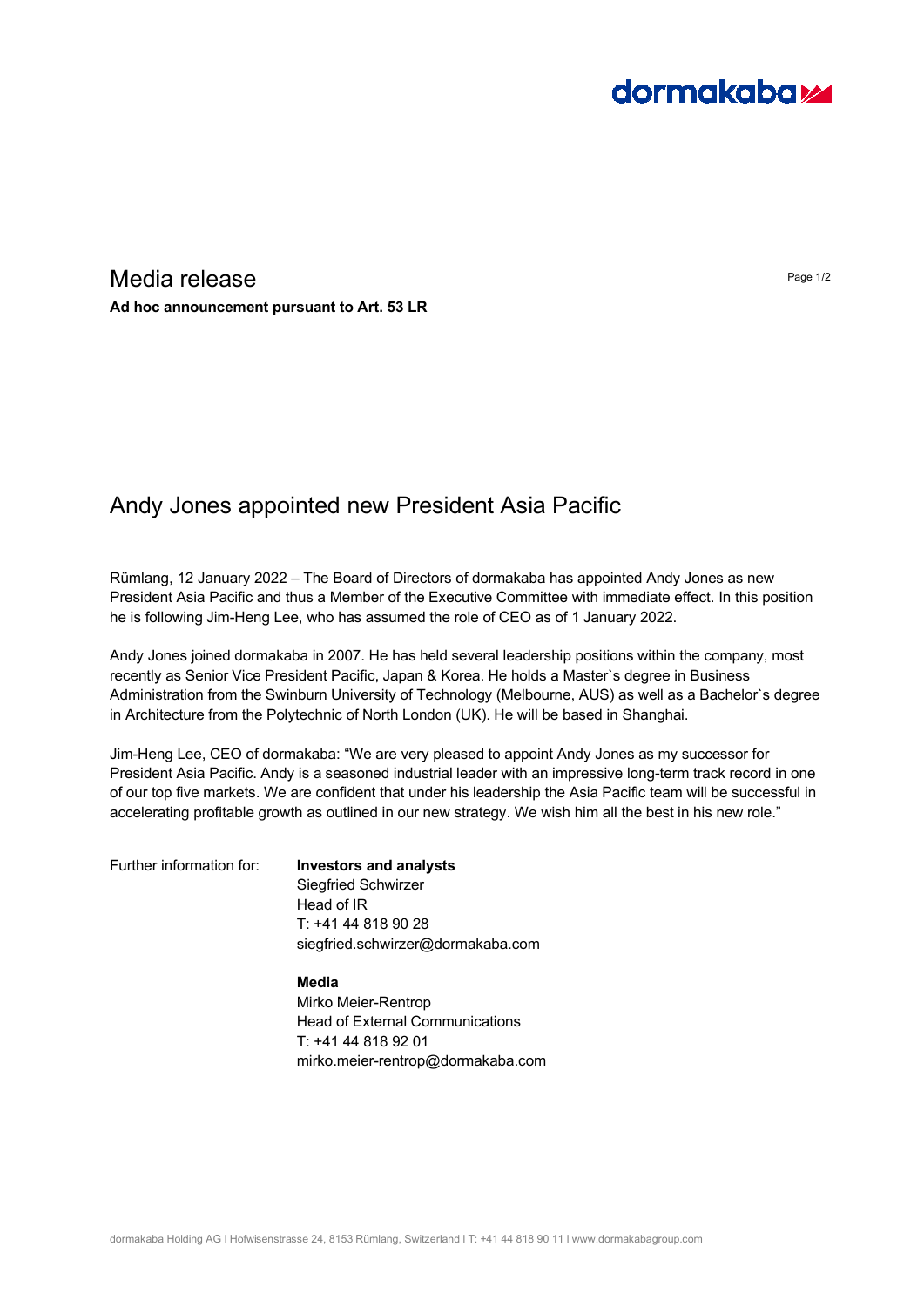## **dormakabazz**

 $Media$  release  $P<sub>age 1/2</sub>$ **Ad hoc announcement pursuant to Art. 53 LR**

## Andy Jones appointed new President Asia Pacific

Rümlang, 12 January 2022 – The Board of Directors of dormakaba has appointed Andy Jones as new President Asia Pacific and thus a Member of the Executive Committee with immediate effect. In this position he is following Jim-Heng Lee, who has assumed the role of CEO as of 1 January 2022.

Andy Jones joined dormakaba in 2007. He has held several leadership positions within the company, most recently as Senior Vice President Pacific, Japan & Korea. He holds a Master`s degree in Business Administration from the Swinburn University of Technology (Melbourne, AUS) as well as a Bachelor`s degree in Architecture from the Polytechnic of North London (UK). He will be based in Shanghai.

Jim-Heng Lee, CEO of dormakaba: "We are very pleased to appoint Andy Jones as my successor for President Asia Pacific. Andy is a seasoned industrial leader with an impressive long-term track record in one of our top five markets. We are confident that under his leadership the Asia Pacific team will be successful in accelerating profitable growth as outlined in our new strategy. We wish him all the best in his new role."

Further information for: **Investors and analysts**

Siegfried Schwirzer Head of IR T: +41 44 818 90 28 siegfried.schwirzer@dormakaba.com

**Media** Mirko Meier-Rentrop Head of External Communications T: +41 44 818 92 01 mirko.meier-rentrop@dormakaba.com